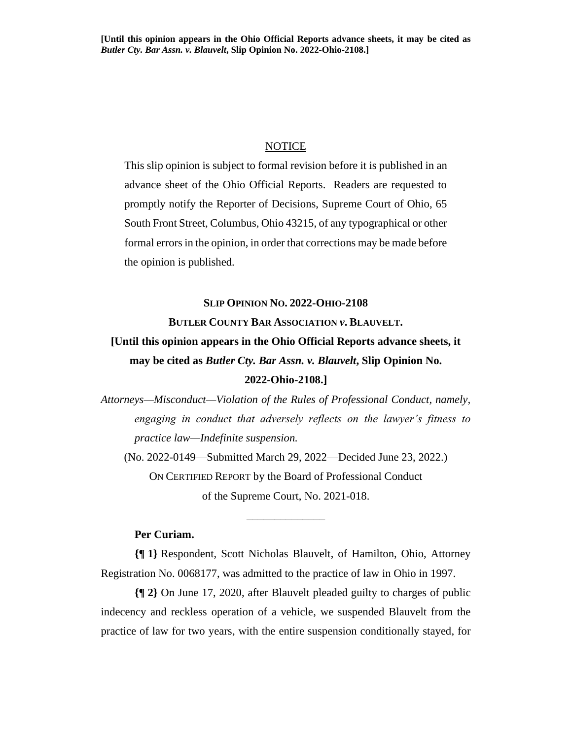## NOTICE

This slip opinion is subject to formal revision before it is published in an advance sheet of the Ohio Official Reports. Readers are requested to promptly notify the Reporter of Decisions, Supreme Court of Ohio, 65 South Front Street, Columbus, Ohio 43215, of any typographical or other formal errors in the opinion, in order that corrections may be made before the opinion is published.

### **SLIP OPINION NO. 2022-OHIO-2108**

**BUTLER COUNTY BAR ASSOCIATION** *v***. BLAUVELT.**

# **[Until this opinion appears in the Ohio Official Reports advance sheets, it may be cited as** *Butler Cty. Bar Assn. v. Blauvelt***, Slip Opinion No. 2022-Ohio-2108.]**

*Attorneys—Misconduct—Violation of the Rules of Professional Conduct, namely, engaging in conduct that adversely reflects on the lawyer's fitness to practice law—Indefinite suspension.*

(No. 2022-0149—Submitted March 29, 2022—Decided June 23, 2022.) ON CERTIFIED REPORT by the Board of Professional Conduct of the Supreme Court, No. 2021-018.

\_\_\_\_\_\_\_\_\_\_\_\_\_\_

# **Per Curiam.**

**{¶ 1}** Respondent, Scott Nicholas Blauvelt, of Hamilton, Ohio, Attorney Registration No. 0068177, was admitted to the practice of law in Ohio in 1997.

**{¶ 2}** On June 17, 2020, after Blauvelt pleaded guilty to charges of public indecency and reckless operation of a vehicle, we suspended Blauvelt from the practice of law for two years, with the entire suspension conditionally stayed, for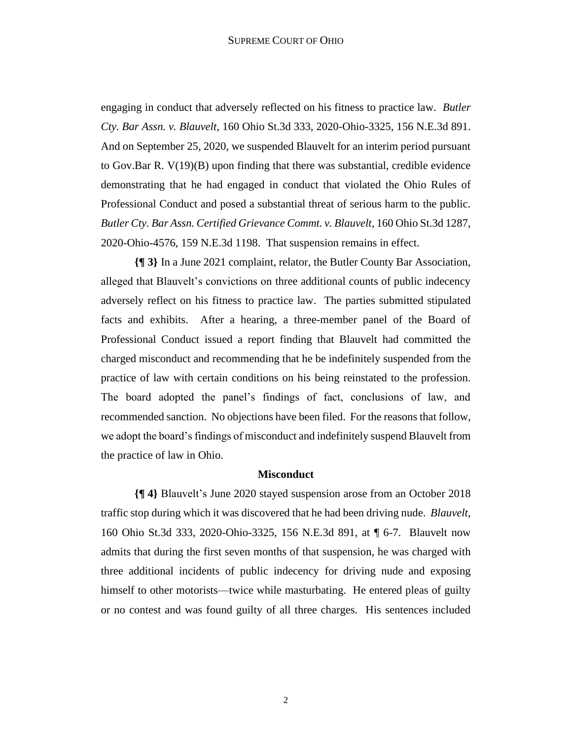engaging in conduct that adversely reflected on his fitness to practice law. *Butler Cty. Bar Assn. v. Blauvelt*, 160 Ohio St.3d 333, 2020-Ohio-3325, 156 N.E.3d 891. And on September 25, 2020, we suspended Blauvelt for an interim period pursuant to Gov.Bar R. V(19)(B) upon finding that there was substantial, credible evidence demonstrating that he had engaged in conduct that violated the Ohio Rules of Professional Conduct and posed a substantial threat of serious harm to the public. *Butler Cty. Bar Assn. Certified Grievance Commt. v. Blauvelt*, 160 Ohio St.3d 1287, 2020-Ohio-4576, 159 N.E.3d 1198. That suspension remains in effect.

**{¶ 3}** In a June 2021 complaint, relator, the Butler County Bar Association, alleged that Blauvelt's convictions on three additional counts of public indecency adversely reflect on his fitness to practice law. The parties submitted stipulated facts and exhibits. After a hearing, a three-member panel of the Board of Professional Conduct issued a report finding that Blauvelt had committed the charged misconduct and recommending that he be indefinitely suspended from the practice of law with certain conditions on his being reinstated to the profession. The board adopted the panel's findings of fact, conclusions of law, and recommended sanction. No objections have been filed. For the reasons that follow, we adopt the board's findings of misconduct and indefinitely suspend Blauvelt from the practice of law in Ohio.

## **Misconduct**

**{¶ 4}** Blauvelt's June 2020 stayed suspension arose from an October 2018 traffic stop during which it was discovered that he had been driving nude. *Blauvelt*, 160 Ohio St.3d 333, 2020-Ohio-3325, 156 N.E.3d 891, at ¶ 6-7. Blauvelt now admits that during the first seven months of that suspension, he was charged with three additional incidents of public indecency for driving nude and exposing himself to other motorists—twice while masturbating. He entered pleas of guilty or no contest and was found guilty of all three charges. His sentences included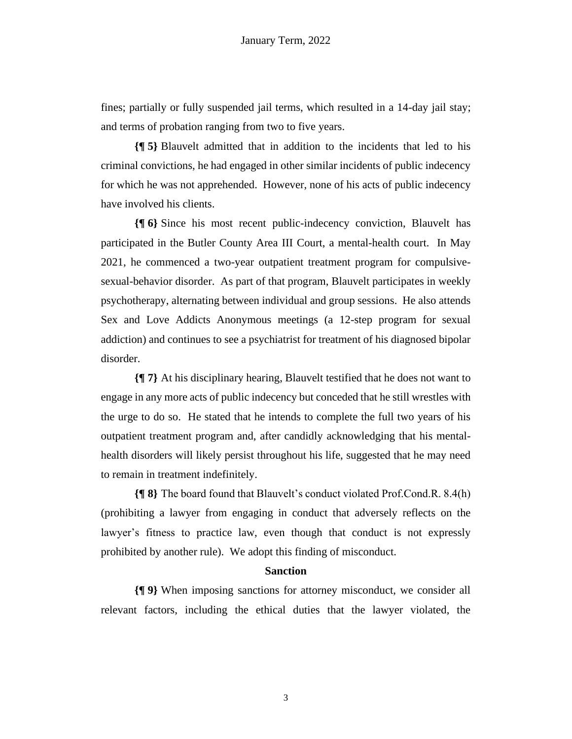fines; partially or fully suspended jail terms, which resulted in a 14-day jail stay; and terms of probation ranging from two to five years.

**{¶ 5}** Blauvelt admitted that in addition to the incidents that led to his criminal convictions, he had engaged in other similar incidents of public indecency for which he was not apprehended. However, none of his acts of public indecency have involved his clients.

**{¶ 6}** Since his most recent public-indecency conviction, Blauvelt has participated in the Butler County Area III Court, a mental-health court. In May 2021, he commenced a two-year outpatient treatment program for compulsivesexual-behavior disorder. As part of that program, Blauvelt participates in weekly psychotherapy, alternating between individual and group sessions. He also attends Sex and Love Addicts Anonymous meetings (a 12-step program for sexual addiction) and continues to see a psychiatrist for treatment of his diagnosed bipolar disorder.

**{¶ 7}** At his disciplinary hearing, Blauvelt testified that he does not want to engage in any more acts of public indecency but conceded that he still wrestles with the urge to do so. He stated that he intends to complete the full two years of his outpatient treatment program and, after candidly acknowledging that his mentalhealth disorders will likely persist throughout his life, suggested that he may need to remain in treatment indefinitely.

**{¶ 8}** The board found that Blauvelt's conduct violated Prof.Cond.R. 8.4(h) (prohibiting a lawyer from engaging in conduct that adversely reflects on the lawyer's fitness to practice law, even though that conduct is not expressly prohibited by another rule). We adopt this finding of misconduct.

### **Sanction**

**{¶ 9}** When imposing sanctions for attorney misconduct, we consider all relevant factors, including the ethical duties that the lawyer violated, the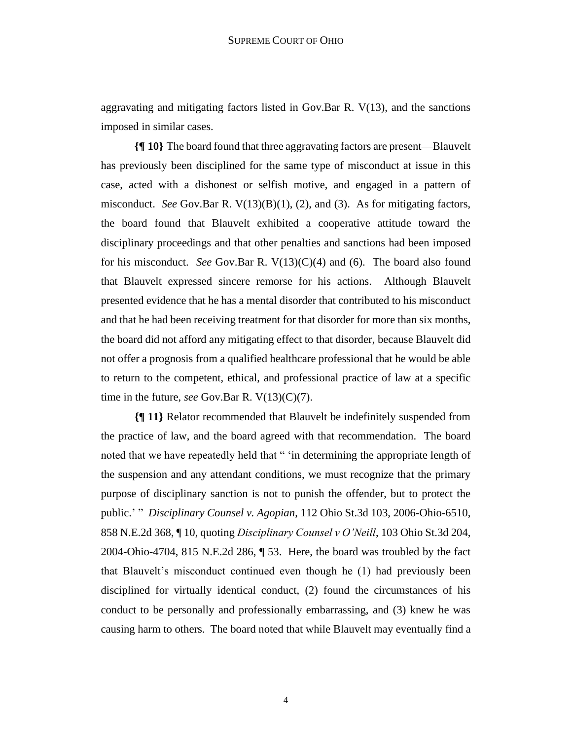aggravating and mitigating factors listed in Gov.Bar R. V(13), and the sanctions imposed in similar cases.

**{¶ 10}** The board found that three aggravating factors are present—Blauvelt has previously been disciplined for the same type of misconduct at issue in this case, acted with a dishonest or selfish motive, and engaged in a pattern of misconduct. *See* Gov.Bar R.  $V(13)(B)(1)$ , (2), and (3). As for mitigating factors, the board found that Blauvelt exhibited a cooperative attitude toward the disciplinary proceedings and that other penalties and sanctions had been imposed for his misconduct. *See* Gov.Bar R. V(13)(C)(4) and (6). The board also found that Blauvelt expressed sincere remorse for his actions. Although Blauvelt presented evidence that he has a mental disorder that contributed to his misconduct and that he had been receiving treatment for that disorder for more than six months, the board did not afford any mitigating effect to that disorder, because Blauvelt did not offer a prognosis from a qualified healthcare professional that he would be able to return to the competent, ethical, and professional practice of law at a specific time in the future, *see* Gov.Bar R. V(13)(C)(7).

**{¶ 11}** Relator recommended that Blauvelt be indefinitely suspended from the practice of law, and the board agreed with that recommendation. The board noted that we have repeatedly held that " 'in determining the appropriate length of the suspension and any attendant conditions, we must recognize that the primary purpose of disciplinary sanction is not to punish the offender, but to protect the public.' " *Disciplinary Counsel v. Agopian*, 112 Ohio St.3d 103, 2006-Ohio-6510, 858 N.E.2d 368, ¶ 10, quoting *Disciplinary Counsel v O'Neill*, 103 Ohio St.3d 204, 2004-Ohio-4704, 815 N.E.2d 286, ¶ 53. Here, the board was troubled by the fact that Blauvelt's misconduct continued even though he (1) had previously been disciplined for virtually identical conduct, (2) found the circumstances of his conduct to be personally and professionally embarrassing, and (3) knew he was causing harm to others. The board noted that while Blauvelt may eventually find a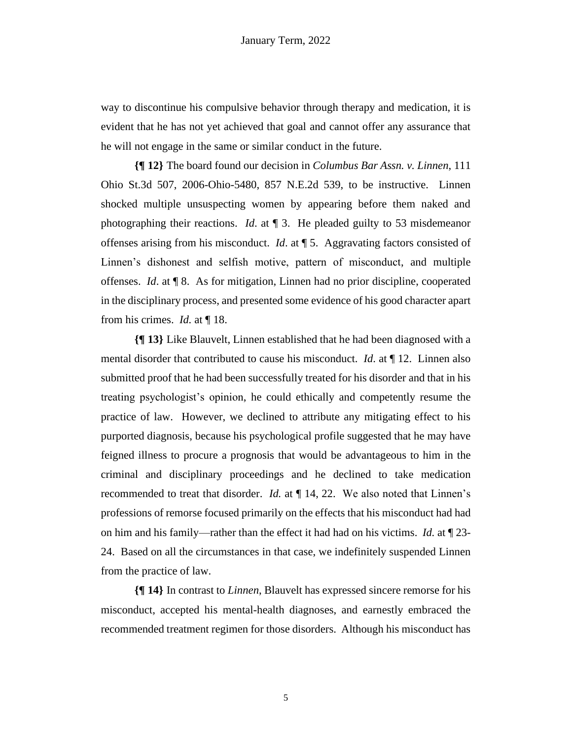way to discontinue his compulsive behavior through therapy and medication, it is evident that he has not yet achieved that goal and cannot offer any assurance that he will not engage in the same or similar conduct in the future.

**{¶ 12}** The board found our decision in *Columbus Bar Assn. v. Linnen*, 111 Ohio St.3d 507, 2006-Ohio-5480, 857 N.E.2d 539, to be instructive. Linnen shocked multiple unsuspecting women by appearing before them naked and photographing their reactions. *Id*. at ¶ 3. He pleaded guilty to 53 misdemeanor offenses arising from his misconduct. *Id*. at ¶ 5. Aggravating factors consisted of Linnen's dishonest and selfish motive, pattern of misconduct, and multiple offenses. *Id*. at ¶ 8. As for mitigation, Linnen had no prior discipline, cooperated in the disciplinary process, and presented some evidence of his good character apart from his crimes. *Id.* at ¶ 18.

**{¶ 13}** Like Blauvelt, Linnen established that he had been diagnosed with a mental disorder that contributed to cause his misconduct. *Id*. at ¶ 12. Linnen also submitted proof that he had been successfully treated for his disorder and that in his treating psychologist's opinion, he could ethically and competently resume the practice of law. However, we declined to attribute any mitigating effect to his purported diagnosis, because his psychological profile suggested that he may have feigned illness to procure a prognosis that would be advantageous to him in the criminal and disciplinary proceedings and he declined to take medication recommended to treat that disorder. *Id.* at ¶ 14, 22. We also noted that Linnen's professions of remorse focused primarily on the effects that his misconduct had had on him and his family—rather than the effect it had had on his victims. *Id.* at ¶ 23- 24. Based on all the circumstances in that case, we indefinitely suspended Linnen from the practice of law.

**{¶ 14}** In contrast to *Linnen*, Blauvelt has expressed sincere remorse for his misconduct, accepted his mental-health diagnoses, and earnestly embraced the recommended treatment regimen for those disorders. Although his misconduct has